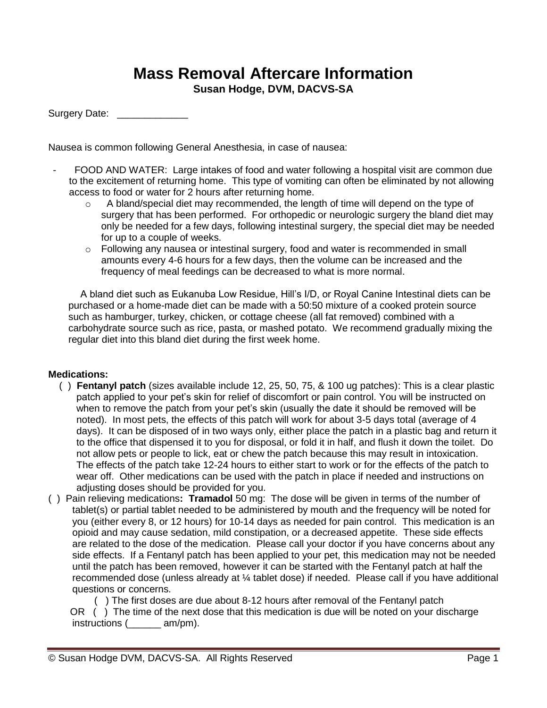## **Mass Removal Aftercare Information**

**Susan Hodge, DVM, DACVS-SA**

Surgery Date:

Nausea is common following General Anesthesia, in case of nausea:

- FOOD AND WATER: Large intakes of food and water following a hospital visit are common due to the excitement of returning home. This type of vomiting can often be eliminated by not allowing access to food or water for 2 hours after returning home.
	- $\circ$  A bland/special diet may recommended, the length of time will depend on the type of surgery that has been performed. For orthopedic or neurologic surgery the bland diet may only be needed for a few days, following intestinal surgery, the special diet may be needed for up to a couple of weeks.
	- $\circ$  Following any nausea or intestinal surgery, food and water is recommended in small amounts every 4-6 hours for a few days, then the volume can be increased and the frequency of meal feedings can be decreased to what is more normal.

A bland diet such as Eukanuba Low Residue, Hill's I/D, or Royal Canine Intestinal diets can be purchased or a home-made diet can be made with a 50:50 mixture of a cooked protein source such as hamburger, turkey, chicken, or cottage cheese (all fat removed) combined with a carbohydrate source such as rice, pasta, or mashed potato. We recommend gradually mixing the regular diet into this bland diet during the first week home.

## **Medications:**

- ( ) **Fentanyl patch** (sizes available include 12, 25, 50, 75, & 100 ug patches): This is a clear plastic patch applied to your pet's skin for relief of discomfort or pain control. You will be instructed on when to remove the patch from your pet's skin (usually the date it should be removed will be noted). In most pets, the effects of this patch will work for about 3-5 days total (average of 4 days). It can be disposed of in two ways only, either place the patch in a plastic bag and return it to the office that dispensed it to you for disposal, or fold it in half, and flush it down the toilet. Do not allow pets or people to lick, eat or chew the patch because this may result in intoxication. The effects of the patch take 12-24 hours to either start to work or for the effects of the patch to wear off. Other medications can be used with the patch in place if needed and instructions on adjusting doses should be provided for you.
- ( ) Pain relieving medications**: Tramadol** 50 mg: The dose will be given in terms of the number of tablet(s) or partial tablet needed to be administered by mouth and the frequency will be noted for you (either every 8, or 12 hours) for 10-14 days as needed for pain control. This medication is an opioid and may cause sedation, mild constipation, or a decreased appetite. These side effects are related to the dose of the medication. Please call your doctor if you have concerns about any side effects. If a Fentanyl patch has been applied to your pet, this medication may not be needed until the patch has been removed, however it can be started with the Fentanyl patch at half the recommended dose (unless already at ¼ tablet dose) if needed. Please call if you have additional questions or concerns.

 ( ) The first doses are due about 8-12 hours after removal of the Fentanyl patch OR ( ) The time of the next dose that this medication is due will be noted on your discharge

instructions (\_\_\_\_\_\_ am/pm).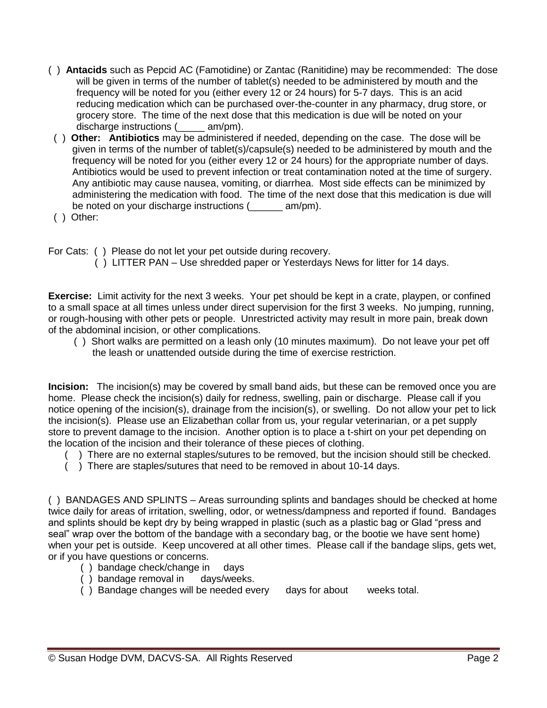- ( ) **Antacids** such as Pepcid AC (Famotidine) or Zantac (Ranitidine) may be recommended:The dose will be given in terms of the number of tablet(s) needed to be administered by mouth and the frequency will be noted for you (either every 12 or 24 hours) for 5-7 days. This is an acid reducing medication which can be purchased over-the-counter in any pharmacy, drug store, or grocery store. The time of the next dose that this medication is due will be noted on your discharge instructions (  $am/m$ ).
- ( ) **Other: Antibiotics** may be administered if needed, depending on the case. The dose will be given in terms of the number of tablet(s)/capsule(s) needed to be administered by mouth and the frequency will be noted for you (either every 12 or 24 hours) for the appropriate number of days. Antibiotics would be used to prevent infection or treat contamination noted at the time of surgery. Any antibiotic may cause nausea, vomiting, or diarrhea. Most side effects can be minimized by administering the medication with food. The time of the next dose that this medication is due will be noted on your discharge instructions (  $am/m$ ).
- ( ) Other:

For Cats: ( ) Please do not let your pet outside during recovery.

( ) LITTER PAN – Use shredded paper or Yesterdays News for litter for 14 days.

**Exercise:** Limit activity for the next 3 weeks. Your pet should be kept in a crate, playpen, or confined to a small space at all times unless under direct supervision for the first 3 weeks. No jumping, running, or rough-housing with other pets or people. Unrestricted activity may result in more pain, break down of the abdominal incision, or other complications.

 ( ) Short walks are permitted on a leash only (10 minutes maximum). Do not leave your pet off the leash or unattended outside during the time of exercise restriction.

**Incision:** The incision(s) may be covered by small band aids, but these can be removed once you are home. Please check the incision(s) daily for redness, swelling, pain or discharge. Please call if you notice opening of the incision(s), drainage from the incision(s), or swelling. Do not allow your pet to lick the incision(s). Please use an Elizabethan collar from us, your regular veterinarian, or a pet supply store to prevent damage to the incision. Another option is to place a t-shirt on your pet depending on the location of the incision and their tolerance of these pieces of clothing.

- ( ) There are no external staples/sutures to be removed, but the incision should still be checked.
- ( ) There are staples/sutures that need to be removed in about 10-14 days.

( ) BANDAGES AND SPLINTS – Areas surrounding splints and bandages should be checked at home twice daily for areas of irritation, swelling, odor, or wetness/dampness and reported if found. Bandages and splints should be kept dry by being wrapped in plastic (such as a plastic bag or Glad "press and seal" wrap over the bottom of the bandage with a secondary bag, or the bootie we have sent home) when your pet is outside. Keep uncovered at all other times. Please call if the bandage slips, gets wet, or if you have questions or concerns.

- ( ) bandage check/change in days
- ( ) bandage removal in days/weeks.
- ( ) Bandage changes will be needed every days for about weeks total.